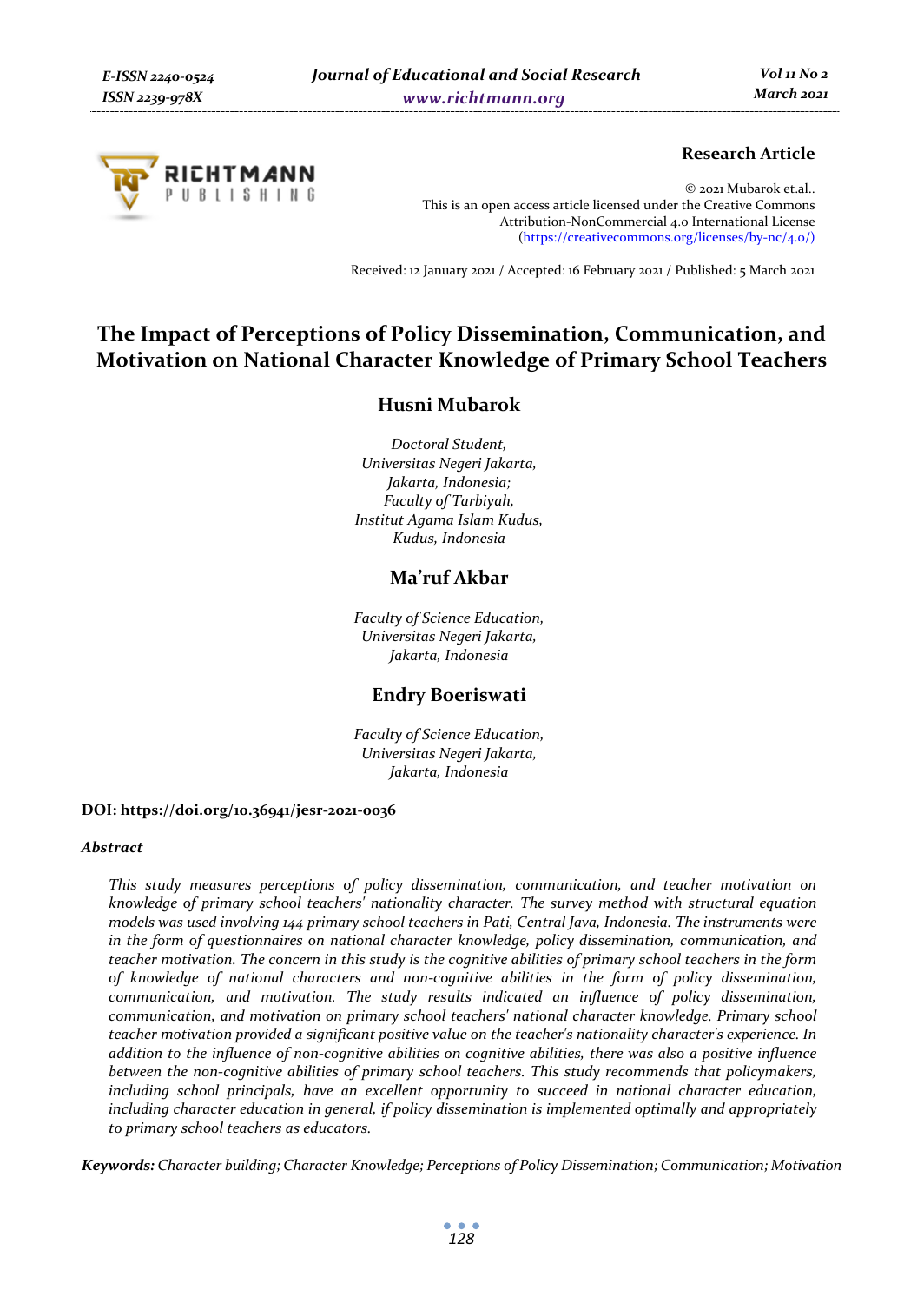

# **Research Article**

© 2021 Mubarok et.al.. This is an open access article licensed under the Creative Commons Attribution-NonCommercial 4.0 International License (https://creativecommons.org/licenses/by-nc/4.0/)

Received: 12 January 2021 / Accepted: 16 February 2021 / Published: 5 March 2021

# **The Impact of Perceptions of Policy Dissemination, Communication, and Motivation on National Character Knowledge of Primary School Teachers**

# **Husni Mubarok**

*Doctoral Student, Universitas Negeri Jakarta, Jakarta, Indonesia; Faculty of Tarbiyah, Institut Agama Islam Kudus, Kudus, Indonesia* 

# **Ma'ruf Akbar**

*Faculty of Science Education, Universitas Negeri Jakarta, Jakarta, Indonesia* 

# **Endry Boeriswati**

*Faculty of Science Education, Universitas Negeri Jakarta, Jakarta, Indonesia* 

#### **DOI: https://doi.org/10.36941/jesr-2021-0036**

#### *Abstract*

*This study measures perceptions of policy dissemination, communication, and teacher motivation on knowledge of primary school teachers' nationality character. The survey method with structural equation models was used involving 144 primary school teachers in Pati, Central Java, Indonesia. The instruments were in the form of questionnaires on national character knowledge, policy dissemination, communication, and teacher motivation. The concern in this study is the cognitive abilities of primary school teachers in the form of knowledge of national characters and non-cognitive abilities in the form of policy dissemination, communication, and motivation. The study results indicated an influence of policy dissemination, communication, and motivation on primary school teachers' national character knowledge. Primary school teacher motivation provided a significant positive value on the teacher's nationality character's experience. In addition to the influence of non-cognitive abilities on cognitive abilities, there was also a positive influence between the non-cognitive abilities of primary school teachers. This study recommends that policymakers, including school principals, have an excellent opportunity to succeed in national character education, including character education in general, if policy dissemination is implemented optimally and appropriately to primary school teachers as educators.* 

*Keywords: Character building; Character Knowledge; Perceptions of Policy Dissemination; Communication; Motivation*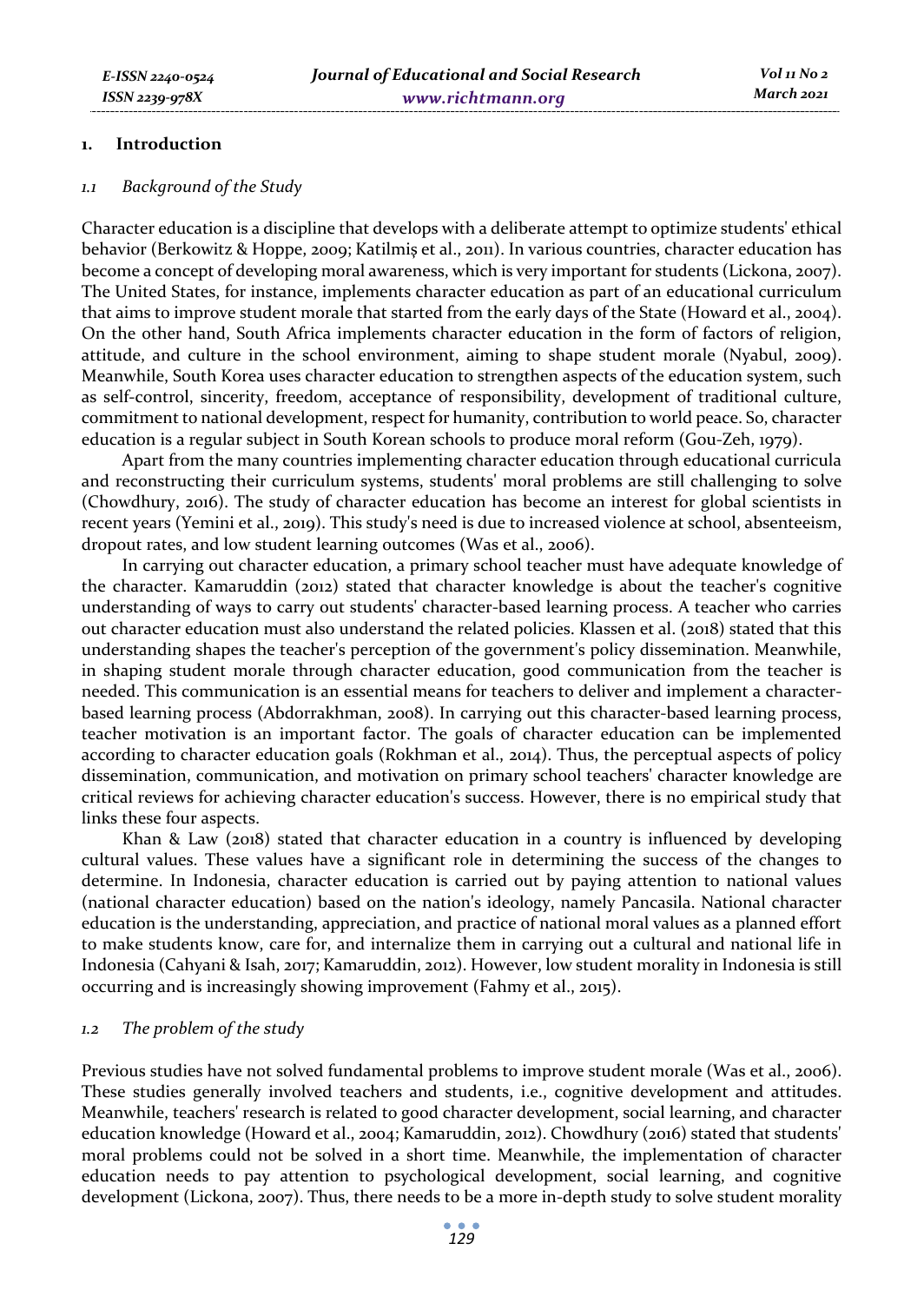#### **1. Introduction**

#### *1.1 Background of the Study*

Character education is a discipline that develops with a deliberate attempt to optimize students' ethical behavior (Berkowitz & Hoppe, 2009; Katilmiş et al., 2011). In various countries, character education has become a concept of developing moral awareness, which is very important for students (Lickona, 2007). The United States, for instance, implements character education as part of an educational curriculum that aims to improve student morale that started from the early days of the State (Howard et al., 2004). On the other hand, South Africa implements character education in the form of factors of religion, attitude, and culture in the school environment, aiming to shape student morale (Nyabul, 2009). Meanwhile, South Korea uses character education to strengthen aspects of the education system, such as self-control, sincerity, freedom, acceptance of responsibility, development of traditional culture, commitment to national development, respect for humanity, contribution to world peace. So, character education is a regular subject in South Korean schools to produce moral reform (Gou-Zeh, 1979).

Apart from the many countries implementing character education through educational curricula and reconstructing their curriculum systems, students' moral problems are still challenging to solve (Chowdhury, 2016). The study of character education has become an interest for global scientists in recent years (Yemini et al., 2019). This study's need is due to increased violence at school, absenteeism, dropout rates, and low student learning outcomes (Was et al., 2006).

In carrying out character education, a primary school teacher must have adequate knowledge of the character. Kamaruddin (2012) stated that character knowledge is about the teacher's cognitive understanding of ways to carry out students' character-based learning process. A teacher who carries out character education must also understand the related policies. Klassen et al. (2018) stated that this understanding shapes the teacher's perception of the government's policy dissemination. Meanwhile, in shaping student morale through character education, good communication from the teacher is needed. This communication is an essential means for teachers to deliver and implement a characterbased learning process (Abdorrakhman, 2008). In carrying out this character-based learning process, teacher motivation is an important factor. The goals of character education can be implemented according to character education goals (Rokhman et al., 2014). Thus, the perceptual aspects of policy dissemination, communication, and motivation on primary school teachers' character knowledge are critical reviews for achieving character education's success. However, there is no empirical study that links these four aspects.

Khan & Law (2018) stated that character education in a country is influenced by developing cultural values. These values have a significant role in determining the success of the changes to determine. In Indonesia, character education is carried out by paying attention to national values (national character education) based on the nation's ideology, namely Pancasila. National character education is the understanding, appreciation, and practice of national moral values as a planned effort to make students know, care for, and internalize them in carrying out a cultural and national life in Indonesia (Cahyani & Isah, 2017; Kamaruddin, 2012). However, low student morality in Indonesia is still occurring and is increasingly showing improvement (Fahmy et al., 2015).

#### *1.2 The problem of the study*

Previous studies have not solved fundamental problems to improve student morale (Was et al., 2006). These studies generally involved teachers and students, i.e., cognitive development and attitudes. Meanwhile, teachers' research is related to good character development, social learning, and character education knowledge (Howard et al., 2004; Kamaruddin, 2012). Chowdhury (2016) stated that students' moral problems could not be solved in a short time. Meanwhile, the implementation of character education needs to pay attention to psychological development, social learning, and cognitive development (Lickona, 2007). Thus, there needs to be a more in-depth study to solve student morality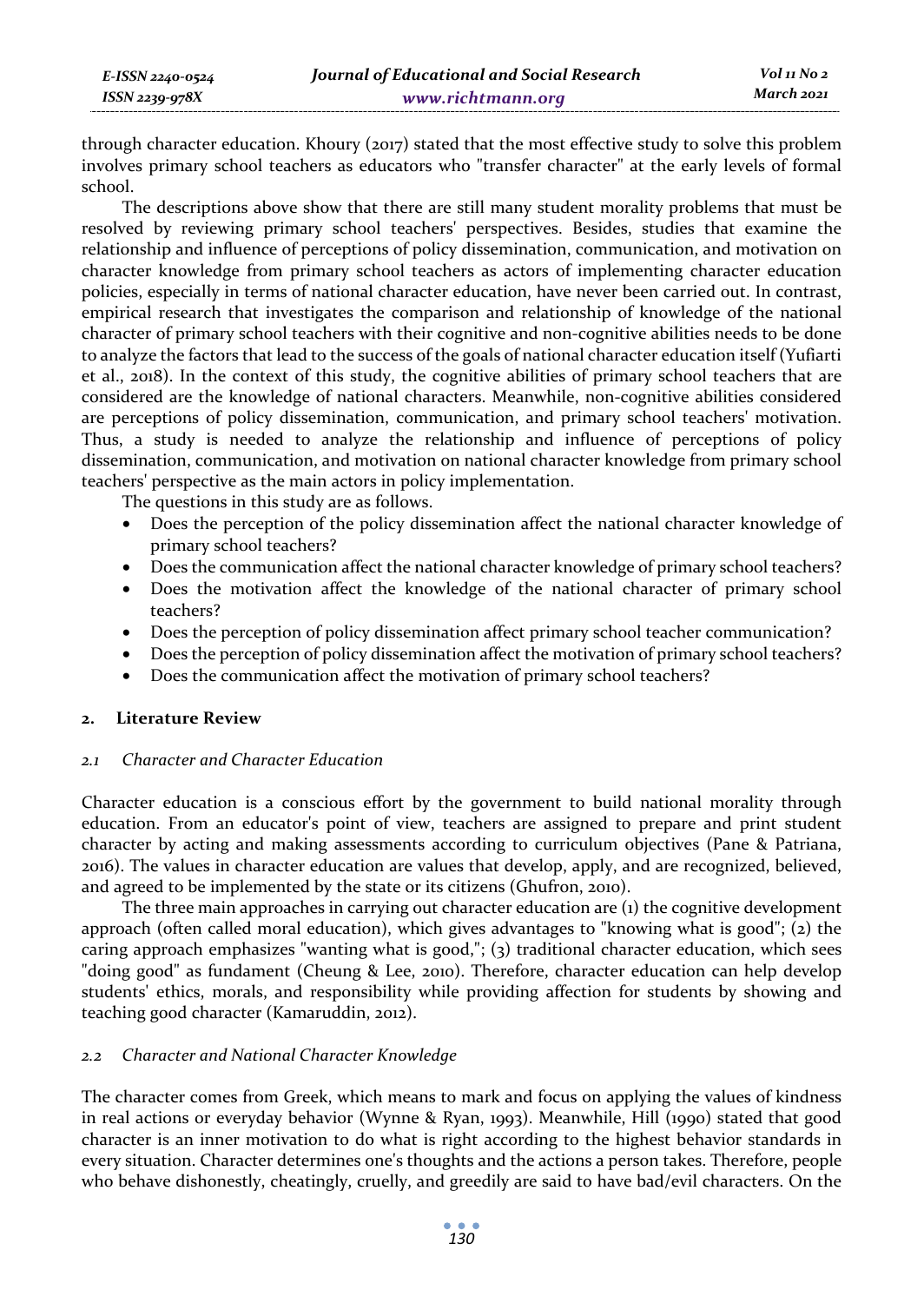through character education. Khoury (2017) stated that the most effective study to solve this problem involves primary school teachers as educators who "transfer character" at the early levels of formal school.

The descriptions above show that there are still many student morality problems that must be resolved by reviewing primary school teachers' perspectives. Besides, studies that examine the relationship and influence of perceptions of policy dissemination, communication, and motivation on character knowledge from primary school teachers as actors of implementing character education policies, especially in terms of national character education, have never been carried out. In contrast, empirical research that investigates the comparison and relationship of knowledge of the national character of primary school teachers with their cognitive and non-cognitive abilities needs to be done to analyze the factors that lead to the success of the goals of national character education itself (Yufiarti et al., 2018). In the context of this study, the cognitive abilities of primary school teachers that are considered are the knowledge of national characters. Meanwhile, non-cognitive abilities considered are perceptions of policy dissemination, communication, and primary school teachers' motivation. Thus, a study is needed to analyze the relationship and influence of perceptions of policy dissemination, communication, and motivation on national character knowledge from primary school teachers' perspective as the main actors in policy implementation.

The questions in this study are as follows.

- Does the perception of the policy dissemination affect the national character knowledge of primary school teachers?
- Does the communication affect the national character knowledge of primary school teachers?
- Does the motivation affect the knowledge of the national character of primary school teachers?
- Does the perception of policy dissemination affect primary school teacher communication?
- Does the perception of policy dissemination affect the motivation of primary school teachers?
- Does the communication affect the motivation of primary school teachers?

### **2. Literature Review**

### *2.1 Character and Character Education*

Character education is a conscious effort by the government to build national morality through education. From an educator's point of view, teachers are assigned to prepare and print student character by acting and making assessments according to curriculum objectives (Pane & Patriana, 2016). The values in character education are values that develop, apply, and are recognized, believed, and agreed to be implemented by the state or its citizens (Ghufron, 2010).

The three main approaches in carrying out character education are (1) the cognitive development approach (often called moral education), which gives advantages to "knowing what is good"; (2) the caring approach emphasizes "wanting what is good,"; (3) traditional character education, which sees "doing good" as fundament (Cheung & Lee, 2010). Therefore, character education can help develop students' ethics, morals, and responsibility while providing affection for students by showing and teaching good character (Kamaruddin, 2012).

### *2.2 Character and National Character Knowledge*

The character comes from Greek, which means to mark and focus on applying the values of kindness in real actions or everyday behavior (Wynne & Ryan, 1993). Meanwhile, Hill (1990) stated that good character is an inner motivation to do what is right according to the highest behavior standards in every situation. Character determines one's thoughts and the actions a person takes. Therefore, people who behave dishonestly, cheatingly, cruelly, and greedily are said to have bad/evil characters. On the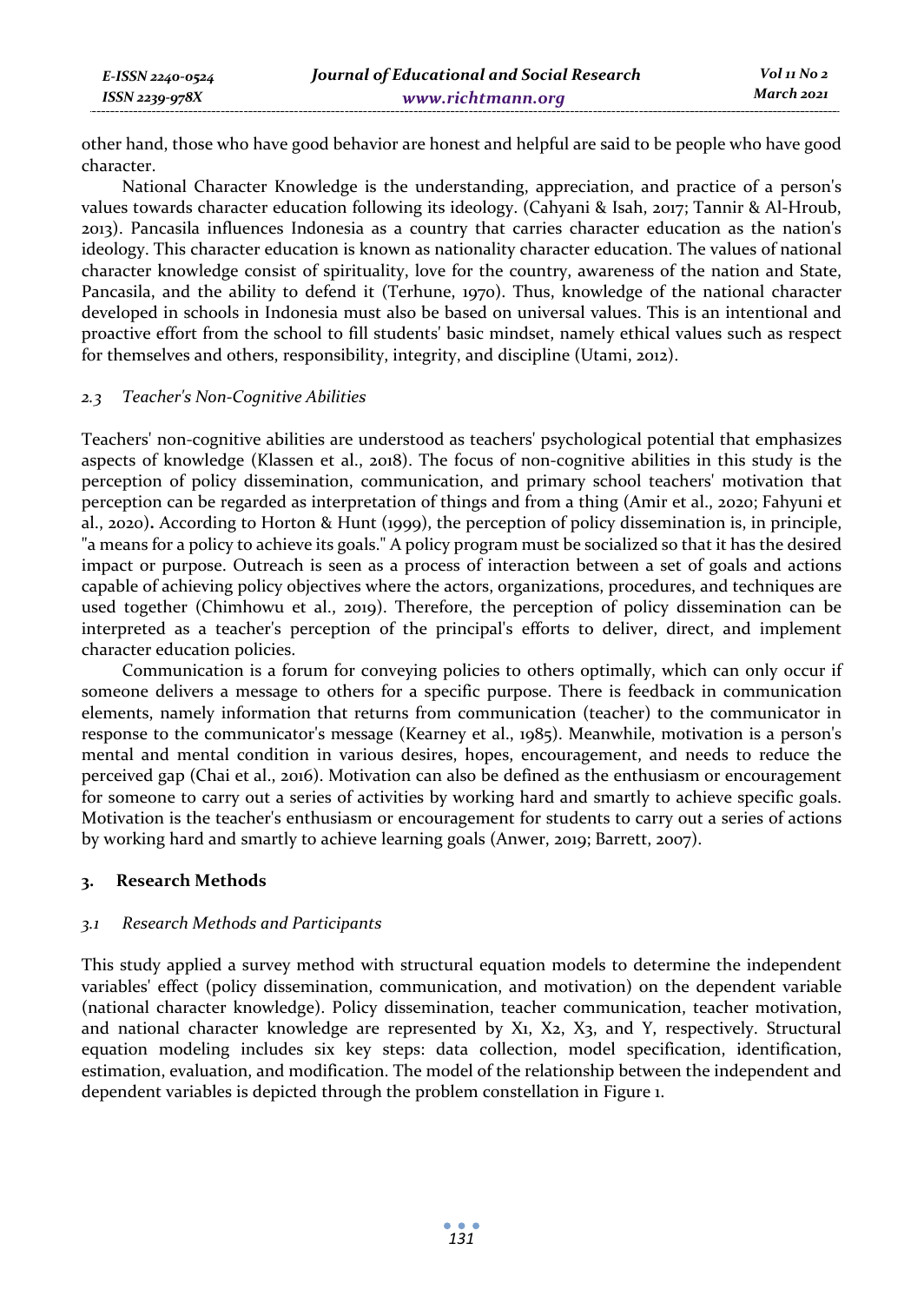| E-ISSN 2240-0524 | Journal of Educational and Social Research | Vol 11 No 2 |
|------------------|--------------------------------------------|-------------|
| ISSN 2239-978X   | www.richtmann.org                          | March 2021  |

other hand, those who have good behavior are honest and helpful are said to be people who have good character.

National Character Knowledge is the understanding, appreciation, and practice of a person's values towards character education following its ideology. (Cahyani & Isah, 2017; Tannir & Al-Hroub, 2013). Pancasila influences Indonesia as a country that carries character education as the nation's ideology. This character education is known as nationality character education. The values of national character knowledge consist of spirituality, love for the country, awareness of the nation and State, Pancasila, and the ability to defend it (Terhune, 1970). Thus, knowledge of the national character developed in schools in Indonesia must also be based on universal values. This is an intentional and proactive effort from the school to fill students' basic mindset, namely ethical values such as respect for themselves and others, responsibility, integrity, and discipline (Utami, 2012).

### *2.3 Teacher's Non-Cognitive Abilities*

Teachers' non-cognitive abilities are understood as teachers' psychological potential that emphasizes aspects of knowledge (Klassen et al., 2018). The focus of non-cognitive abilities in this study is the perception of policy dissemination, communication, and primary school teachers' motivation that perception can be regarded as interpretation of things and from a thing (Amir et al., 2020; Fahyuni et al., 2020)**.** According to Horton & Hunt (1999), the perception of policy dissemination is, in principle, "a means for a policy to achieve its goals." A policy program must be socialized so that it has the desired impact or purpose. Outreach is seen as a process of interaction between a set of goals and actions capable of achieving policy objectives where the actors, organizations, procedures, and techniques are used together (Chimhowu et al., 2019). Therefore, the perception of policy dissemination can be interpreted as a teacher's perception of the principal's efforts to deliver, direct, and implement character education policies.

Communication is a forum for conveying policies to others optimally, which can only occur if someone delivers a message to others for a specific purpose. There is feedback in communication elements, namely information that returns from communication (teacher) to the communicator in response to the communicator's message (Kearney et al., 1985). Meanwhile, motivation is a person's mental and mental condition in various desires, hopes, encouragement, and needs to reduce the perceived gap (Chai et al., 2016). Motivation can also be defined as the enthusiasm or encouragement for someone to carry out a series of activities by working hard and smartly to achieve specific goals. Motivation is the teacher's enthusiasm or encouragement for students to carry out a series of actions by working hard and smartly to achieve learning goals (Anwer, 2019; Barrett, 2007).

### **3. Research Methods**

### *3.1 Research Methods and Participants*

This study applied a survey method with structural equation models to determine the independent variables' effect (policy dissemination, communication, and motivation) on the dependent variable (national character knowledge). Policy dissemination, teacher communication, teacher motivation, and national character knowledge are represented by  $X_1$ ,  $X_2$ ,  $X_3$ , and  $Y$ , respectively. Structural equation modeling includes six key steps: data collection, model specification, identification, estimation, evaluation, and modification. The model of the relationship between the independent and dependent variables is depicted through the problem constellation in Figure 1.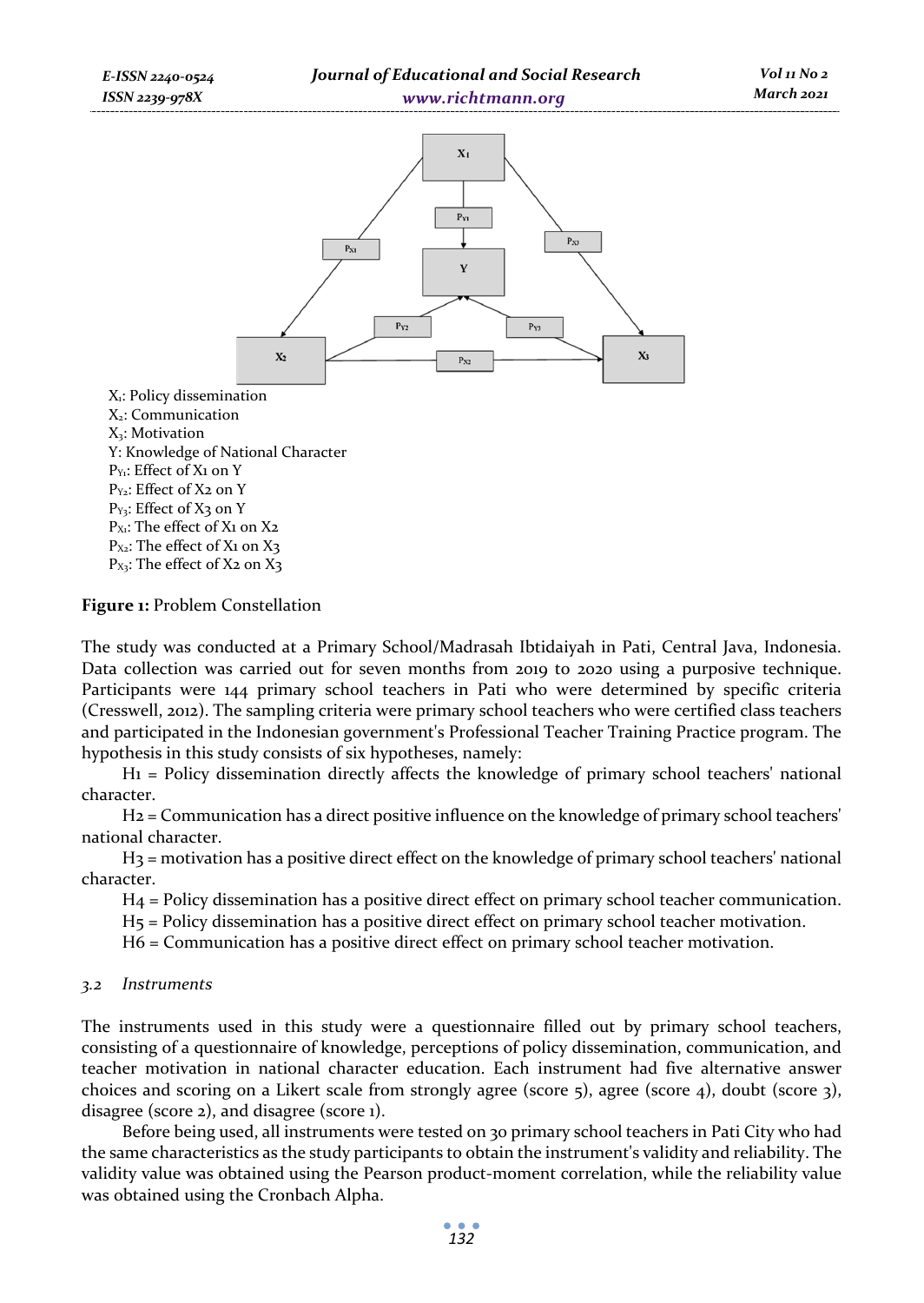



P<sub>X2</sub>: The effect of X<sub>1</sub> on X<sub>3</sub>  $P_{X_3}$ : The effect of  $X_2$  on  $X_3$ 

**Figure 1:** Problem Constellation

The study was conducted at a Primary School/Madrasah Ibtidaiyah in Pati, Central Java, Indonesia. Data collection was carried out for seven months from 2019 to 2020 using a purposive technique. Participants were 144 primary school teachers in Pati who were determined by specific criteria (Cresswell, 2012). The sampling criteria were primary school teachers who were certified class teachers and participated in the Indonesian government's Professional Teacher Training Practice program. The hypothesis in this study consists of six hypotheses, namely:

H1 = Policy dissemination directly affects the knowledge of primary school teachers' national character.

H2 = Communication has a direct positive influence on the knowledge of primary school teachers' national character.

H3 = motivation has a positive direct effect on the knowledge of primary school teachers' national character.

H4 = Policy dissemination has a positive direct effect on primary school teacher communication.

H5 = Policy dissemination has a positive direct effect on primary school teacher motivation.

H6 = Communication has a positive direct effect on primary school teacher motivation.

#### *3.2 Instruments*

The instruments used in this study were a questionnaire filled out by primary school teachers, consisting of a questionnaire of knowledge, perceptions of policy dissemination, communication, and teacher motivation in national character education. Each instrument had five alternative answer choices and scoring on a Likert scale from strongly agree (score 5), agree (score 4), doubt (score 3), disagree (score 2), and disagree (score 1).

Before being used, all instruments were tested on 30 primary school teachers in Pati City who had the same characteristics as the study participants to obtain the instrument's validity and reliability. The validity value was obtained using the Pearson product-moment correlation, while the reliability value was obtained using the Cronbach Alpha.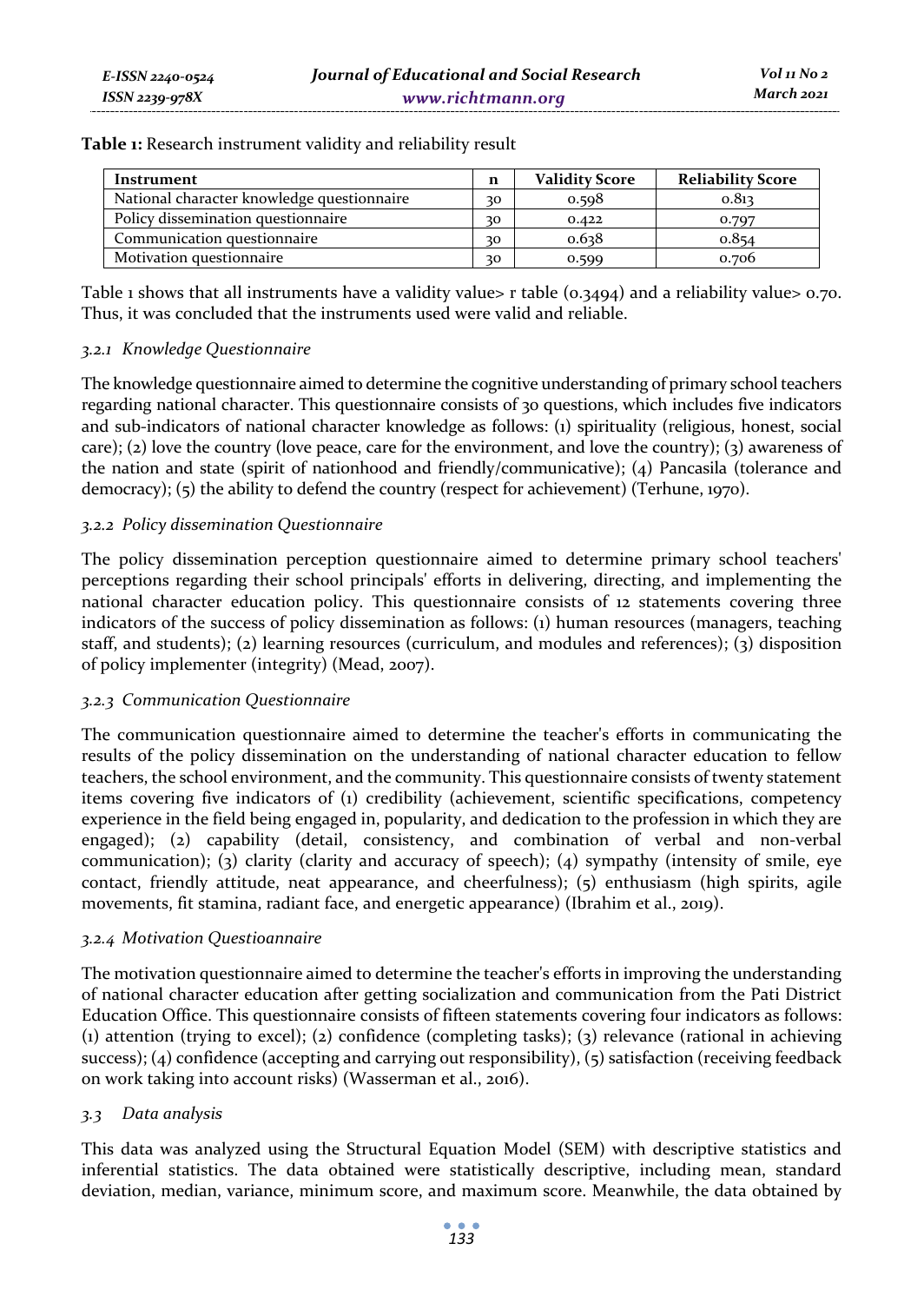| Instrument                                 | n  | <b>Validity Score</b> | <b>Reliability Score</b> |
|--------------------------------------------|----|-----------------------|--------------------------|
| National character knowledge questionnaire | 30 | 0.598                 | 0.813                    |
| Policy dissemination questionnaire         | 30 | 0.422                 | 0.797                    |
| Communication questionnaire                | 30 | 0.638                 | 0.854                    |
| Motivation questionnaire                   | 30 | 0.599                 | 0.706                    |

**Table 1:** Research instrument validity and reliability result

Table 1 shows that all instruments have a validity value> r table  $(0.3494)$  and a reliability value> 0.70. Thus, it was concluded that the instruments used were valid and reliable.

### *3.2.1 Knowledge Questionnaire*

The knowledge questionnaire aimed to determine the cognitive understanding of primary school teachers regarding national character. This questionnaire consists of 30 questions, which includes five indicators and sub-indicators of national character knowledge as follows: (1) spirituality (religious, honest, social care); (2) love the country (love peace, care for the environment, and love the country); (3) awareness of the nation and state (spirit of nationhood and friendly/communicative); (4) Pancasila (tolerance and democracy); (5) the ability to defend the country (respect for achievement) (Terhune, 1970).

### *3.2.2 Policy dissemination Questionnaire*

The policy dissemination perception questionnaire aimed to determine primary school teachers' perceptions regarding their school principals' efforts in delivering, directing, and implementing the national character education policy. This questionnaire consists of 12 statements covering three indicators of the success of policy dissemination as follows: (1) human resources (managers, teaching staff, and students); (2) learning resources (curriculum, and modules and references); (3) disposition of policy implementer (integrity) (Mead, 2007).

### *3.2.3 Communication Questionnaire*

The communication questionnaire aimed to determine the teacher's efforts in communicating the results of the policy dissemination on the understanding of national character education to fellow teachers, the school environment, and the community. This questionnaire consists of twenty statement items covering five indicators of (1) credibility (achievement, scientific specifications, competency experience in the field being engaged in, popularity, and dedication to the profession in which they are engaged); (2) capability (detail, consistency, and combination of verbal and non-verbal communication); (3) clarity (clarity and accuracy of speech); (4) sympathy (intensity of smile, eye contact, friendly attitude, neat appearance, and cheerfulness);  $(5)$  enthusiasm (high spirits, agile movements, fit stamina, radiant face, and energetic appearance) (Ibrahim et al., 2019).

### *3.2.4 Motivation Questioannaire*

The motivation questionnaire aimed to determine the teacher's efforts in improving the understanding of national character education after getting socialization and communication from the Pati District Education Office. This questionnaire consists of fifteen statements covering four indicators as follows: (1) attention (trying to excel); (2) confidence (completing tasks); (3) relevance (rational in achieving success); (4) confidence (accepting and carrying out responsibility), (5) satisfaction (receiving feedback on work taking into account risks) (Wasserman et al., 2016).

### *3.3 Data analysis*

This data was analyzed using the Structural Equation Model (SEM) with descriptive statistics and inferential statistics. The data obtained were statistically descriptive, including mean, standard deviation, median, variance, minimum score, and maximum score. Meanwhile, the data obtained by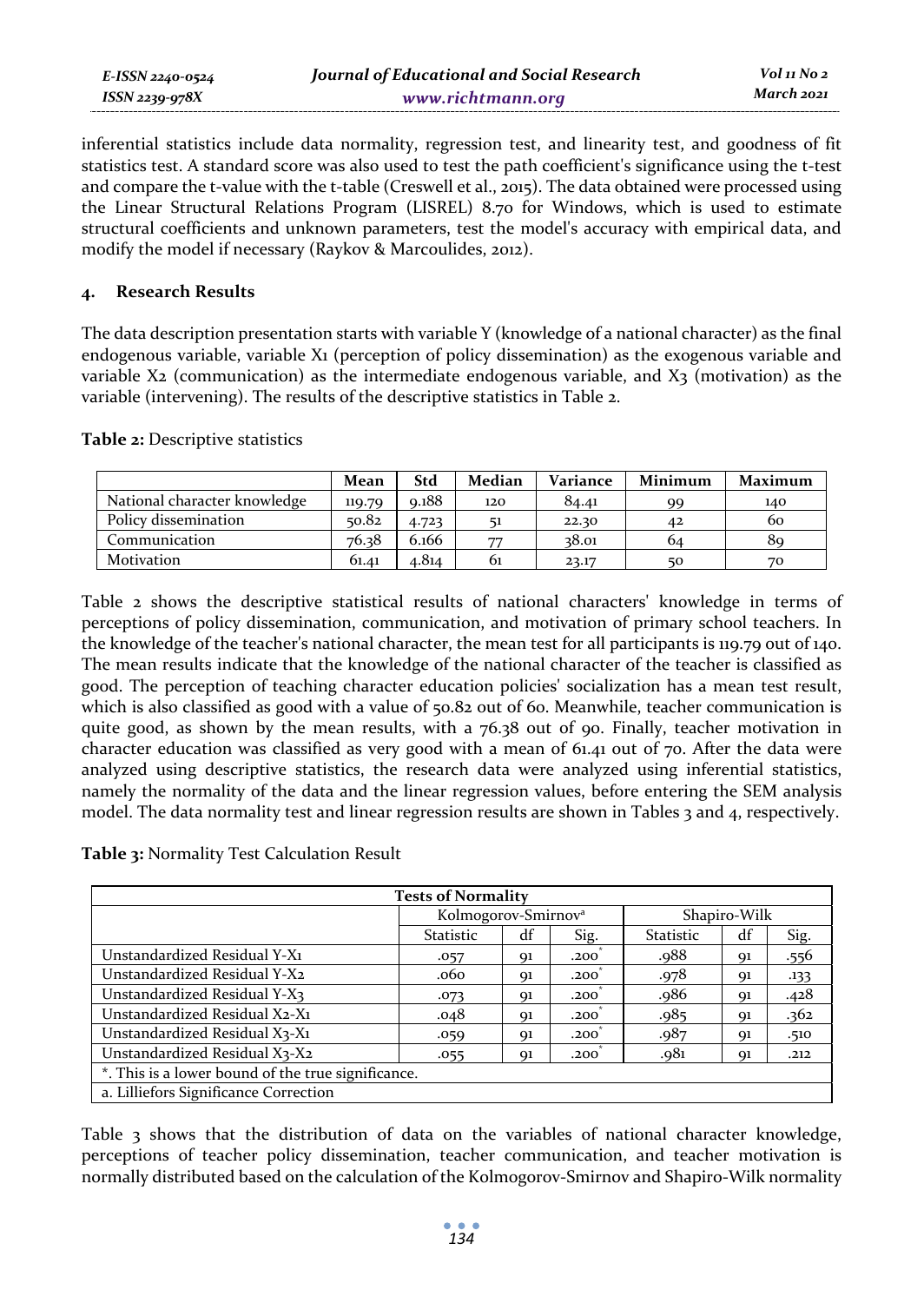| E-ISSN 2240-0524 | Journal of Educational and Social Research | Vol 11 No 2 |
|------------------|--------------------------------------------|-------------|
| ISSN 2239-978X   | www.richtmann.org                          | March 2021  |

inferential statistics include data normality, regression test, and linearity test, and goodness of fit statistics test. A standard score was also used to test the path coefficient's significance using the t-test and compare the t-value with the t-table (Creswell et al., 2015). The data obtained were processed using the Linear Structural Relations Program (LISREL) 8.70 for Windows, which is used to estimate structural coefficients and unknown parameters, test the model's accuracy with empirical data, and modify the model if necessary (Raykov & Marcoulides, 2012).

### **4. Research Results**

The data description presentation starts with variable Y (knowledge of a national character) as the final endogenous variable, variable X1 (perception of policy dissemination) as the exogenous variable and variable X2 (communication) as the intermediate endogenous variable, and X3 (motivation) as the variable (intervening). The results of the descriptive statistics in Table 2.

|                              | Mean   | Std   | Median | Variance | Minimum | Maximum |
|------------------------------|--------|-------|--------|----------|---------|---------|
| National character knowledge | 119.79 | 0.188 | 120    | 84.41    | 99      | 140     |
| Policy dissemination         | 50.82  | 4.723 | 51     | 22.30    | 42      | 60      |
| Communication                | 76.38  | 6.166 |        | 38.01    | 64      | 80      |
| Motivation                   | 61.41  | 4.814 | 61     | 23.17    | 50      | 70      |

**Table 2:** Descriptive statistics

Table 2 shows the descriptive statistical results of national characters' knowledge in terms of perceptions of policy dissemination, communication, and motivation of primary school teachers. In the knowledge of the teacher's national character, the mean test for all participants is 119.79 out of 140. The mean results indicate that the knowledge of the national character of the teacher is classified as good. The perception of teaching character education policies' socialization has a mean test result, which is also classified as good with a value of 50.82 out of 60. Meanwhile, teacher communication is quite good, as shown by the mean results, with a  $76.38$  out of 90. Finally, teacher motivation in character education was classified as very good with a mean of 61.41 out of 70. After the data were analyzed using descriptive statistics, the research data were analyzed using inferential statistics, namely the normality of the data and the linear regression values, before entering the SEM analysis model. The data normality test and linear regression results are shown in Tables 3 and 4, respectively.

**Table 3:** Normality Test Calculation Result

| <b>Tests of Normality</b>                          |                                 |    |      |                  |    |      |  |
|----------------------------------------------------|---------------------------------|----|------|------------------|----|------|--|
|                                                    | Kolmogorov-Smirnov <sup>a</sup> |    |      | Shapiro-Wilk     |    |      |  |
|                                                    | <b>Statistic</b>                | df | Sig. | <b>Statistic</b> | df | Sig. |  |
| Unstandardized Residual Y-X1                       | .057                            | Q1 | .200 | .988             | Q1 | .556 |  |
| Unstandardized Residual Y-X2                       | .060                            | Q1 | .200 | .978             | Q1 | .133 |  |
| Unstandardized Residual Y-X3                       | .073                            | 91 | .200 | .986             | 91 | .428 |  |
| Unstandardized Residual X2-X1                      | .048                            | Q1 | .200 | .985             | Q1 | .362 |  |
| Unstandardized Residual X3-X1                      | .059                            | 91 | .200 | .987             | 91 | .510 |  |
| Unstandardized Residual X3-X2                      | .055                            | 91 | .200 | .981             | Q1 | .212 |  |
| *. This is a lower bound of the true significance. |                                 |    |      |                  |    |      |  |
| a. Lilliefors Significance Correction              |                                 |    |      |                  |    |      |  |

Table 3 shows that the distribution of data on the variables of national character knowledge, perceptions of teacher policy dissemination, teacher communication, and teacher motivation is normally distributed based on the calculation of the Kolmogorov-Smirnov and Shapiro-Wilk normality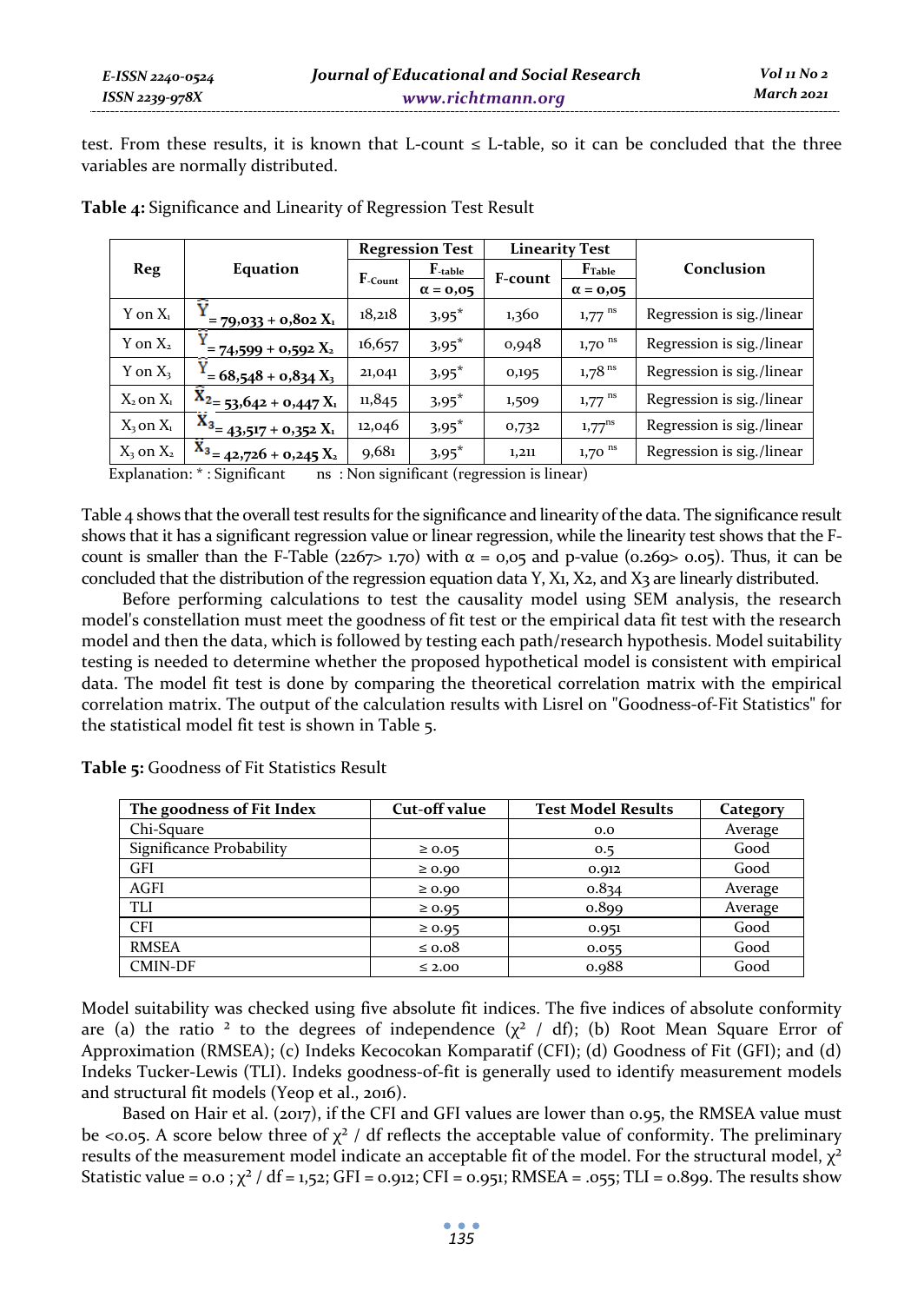test. From these results, it is known that L-count  $\leq$  L-table, so it can be concluded that the three variables are normally distributed.

|                |                                     | <b>Regression Test</b> |                              | <b>Linearity Test</b> |                             |                           |
|----------------|-------------------------------------|------------------------|------------------------------|-----------------------|-----------------------------|---------------------------|
| Reg            | Equation                            |                        | $\mathbf{F}_{\text{-table}}$ | F-count               | $\mathbf{F}_{\text{Table}}$ | Conclusion                |
|                |                                     | $F_{\text{-Count}}$    | $\alpha = 0.05$              |                       | $\alpha = 0.05$             |                           |
| $Y$ on $X_1$   | v<br>$= 79,033 + 0,802 X_1$         | 18,218                 | $3,95*$                      | 1,360                 | $1,77$ <sup>ns</sup>        | Regression is sig./linear |
| Y on $X_2$     | w<br>$\dot{=}$ 74,599 + 0,592 $X_2$ | 16,657                 | $3.95*$                      | 0,948                 | $1,70$ <sup>ns</sup>        | Regression is sig./linear |
| Y on $X_3$     | $= 68,548 + 0,834 X_3$              | 21,041                 | $3,95*$                      | 0,195                 | $1,78$ <sup>ns</sup>        | Regression is sig./linear |
| $X_2$ on $X_1$ | $\ddot{X}_2 = 53,642 + 0,447 X_1$   | 11,845                 | $3.95*$                      | 1,509                 | $1,77$ <sup>ns</sup>        | Regression is sig./linear |
| $X_3$ on $X_1$ | $X_3$ = 43,517 + 0,352 $X_1$        | 12,046                 | $3,95*$                      | 0,732                 | $1,77^{ns}$                 | Regression is sig./linear |
| $X_3$ on $X_2$ | $X_3 = 42,726 + 0.245 X_2$          | 9,681                  | $3.95*$                      | 1,211                 | $1,70$ <sup>ns</sup>        | Regression is sig./linear |

**Table 4:** Significance and Linearity of Regression Test Result

Explanation: \*: Significant ns : Non significant (regression is linear)

Table 4 shows that the overall test results for the significance and linearity of the data. The significance result shows that it has a significant regression value or linear regression, while the linearity test shows that the Fcount is smaller than the F-Table (2267> 1.70) with  $\alpha = 0.05$  and p-value (0.269> 0.05). Thus, it can be concluded that the distribution of the regression equation data Y, X1, X2, and X3 are linearly distributed.

Before performing calculations to test the causality model using SEM analysis, the research model's constellation must meet the goodness of fit test or the empirical data fit test with the research model and then the data, which is followed by testing each path/research hypothesis. Model suitability testing is needed to determine whether the proposed hypothetical model is consistent with empirical data. The model fit test is done by comparing the theoretical correlation matrix with the empirical correlation matrix. The output of the calculation results with Lisrel on "Goodness-of-Fit Statistics" for the statistical model fit test is shown in Table 5.

| The goodness of Fit Index | Cut-off value | <b>Test Model Results</b> | Category |
|---------------------------|---------------|---------------------------|----------|
| Chi-Square                |               | 0.0                       | Average  |
| Significance Probability  | $\geq 0.05$   | 0.5                       | Good     |
| <b>GFI</b>                | $\geq 0.90$   | 0.912                     | Good     |
| AGFI                      | $\geq 0.90$   | 0.834                     | Average  |
| TLI                       | $\ge 0.95$    | 0.899                     | Average  |
| <b>CFI</b>                | $\geq 0.95$   | 0.951                     | Good     |
| <b>RMSEA</b>              | $\leq 0.08$   | 0.055                     | Good     |
| CMIN-DF                   | $\leq 2.00$   | 0.988                     | Good     |

**Table 5:** Goodness of Fit Statistics Result

Model suitability was checked using five absolute fit indices. The five indices of absolute conformity are (a) the ratio <sup>2</sup> to the degrees of independence  $(\chi^2$  / df); (b) Root Mean Square Error of Approximation (RMSEA); (c) Indeks Kecocokan Komparatif (CFI); (d) Goodness of Fit (GFI); and (d) Indeks Tucker-Lewis (TLI). Indeks goodness-of-fit is generally used to identify measurement models and structural fit models (Yeop et al., 2016).

Based on Hair et al. (2017), if the CFI and GFI values are lower than 0.95, the RMSEA value must be <0.05. A score below three of  $\chi^2$  / df reflects the acceptable value of conformity. The preliminary results of the measurement model indicate an acceptable fit of the model. For the structural model,  $\chi^2$ Statistic value =  $0.0$ ;  $\chi^2$  / df = 1,52; GFI = 0.912; CFI = 0.951; RMSEA = .055; TLI = 0.899. The results show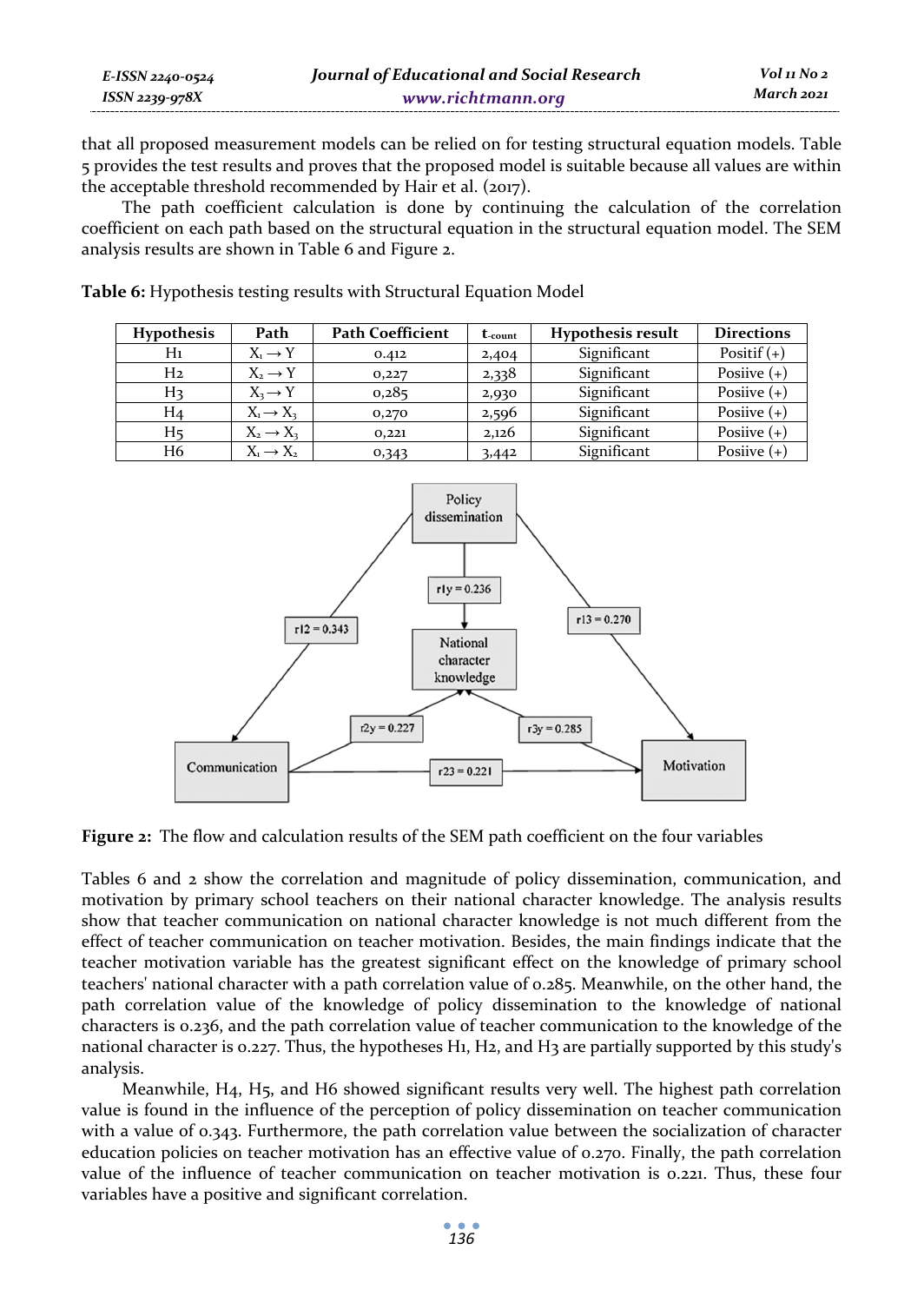| E-ISSN 2240-0524    | Journal of Educational and Social Research | Vol 11 No 2 |
|---------------------|--------------------------------------------|-------------|
| $ISSN$ 2239-97 $8X$ | www.richtmann.org                          | March 2021  |

that all proposed measurement models can be relied on for testing structural equation models. Table 5 provides the test results and proves that the proposed model is suitable because all values are within the acceptable threshold recommended by Hair et al. (2017).

The path coefficient calculation is done by continuing the calculation of the correlation coefficient on each path based on the structural equation in the structural equation model. The SEM analysis results are shown in Table 6 and Figure 2.

Hypothesis **Path Path Coefficient t<sub>-count</sub> Hypothesis result Directions** H<sub>1</sub>  $X_1 \rightarrow Y$  0.412 2,404 Significant Positif (+)  $\begin{array}{c|c|c|c|c|c|c|c} \n\text{H}_2 & X_2 \rightarrow Y & 0,227 & 2,338 & \n\end{array}$  Significant | Posiive (+)  $H_3$   $X_3 \rightarrow Y$  0,285 2,930 Significant Posiive (+)  $H_4$   $X_1 \rightarrow X_3$  0,270 2,596 Significant Posiive (+)  $H_5$   $X_2 \rightarrow X_3$  0,221 2,126 Significant Posiive (+)  $H6 \t | X_1 \rightarrow X_2 \t | 0,343 \t | 3,442 \t |$  Significant Posiive (+)

**Table 6:** Hypothesis testing results with Structural Equation Model



**Figure 2:** The flow and calculation results of the SEM path coefficient on the four variables

Tables 6 and 2 show the correlation and magnitude of policy dissemination, communication, and motivation by primary school teachers on their national character knowledge. The analysis results show that teacher communication on national character knowledge is not much different from the effect of teacher communication on teacher motivation. Besides, the main findings indicate that the teacher motivation variable has the greatest significant effect on the knowledge of primary school teachers' national character with a path correlation value of 0.285. Meanwhile, on the other hand, the path correlation value of the knowledge of policy dissemination to the knowledge of national characters is 0.236, and the path correlation value of teacher communication to the knowledge of the national character is 0.227. Thus, the hypotheses H1, H2, and H3 are partially supported by this study's analysis.

Meanwhile, H4, H5, and H6 showed significant results very well. The highest path correlation value is found in the influence of the perception of policy dissemination on teacher communication with a value of 0.343. Furthermore, the path correlation value between the socialization of character education policies on teacher motivation has an effective value of 0.270. Finally, the path correlation value of the influence of teacher communication on teacher motivation is 0.221. Thus, these four variables have a positive and significant correlation.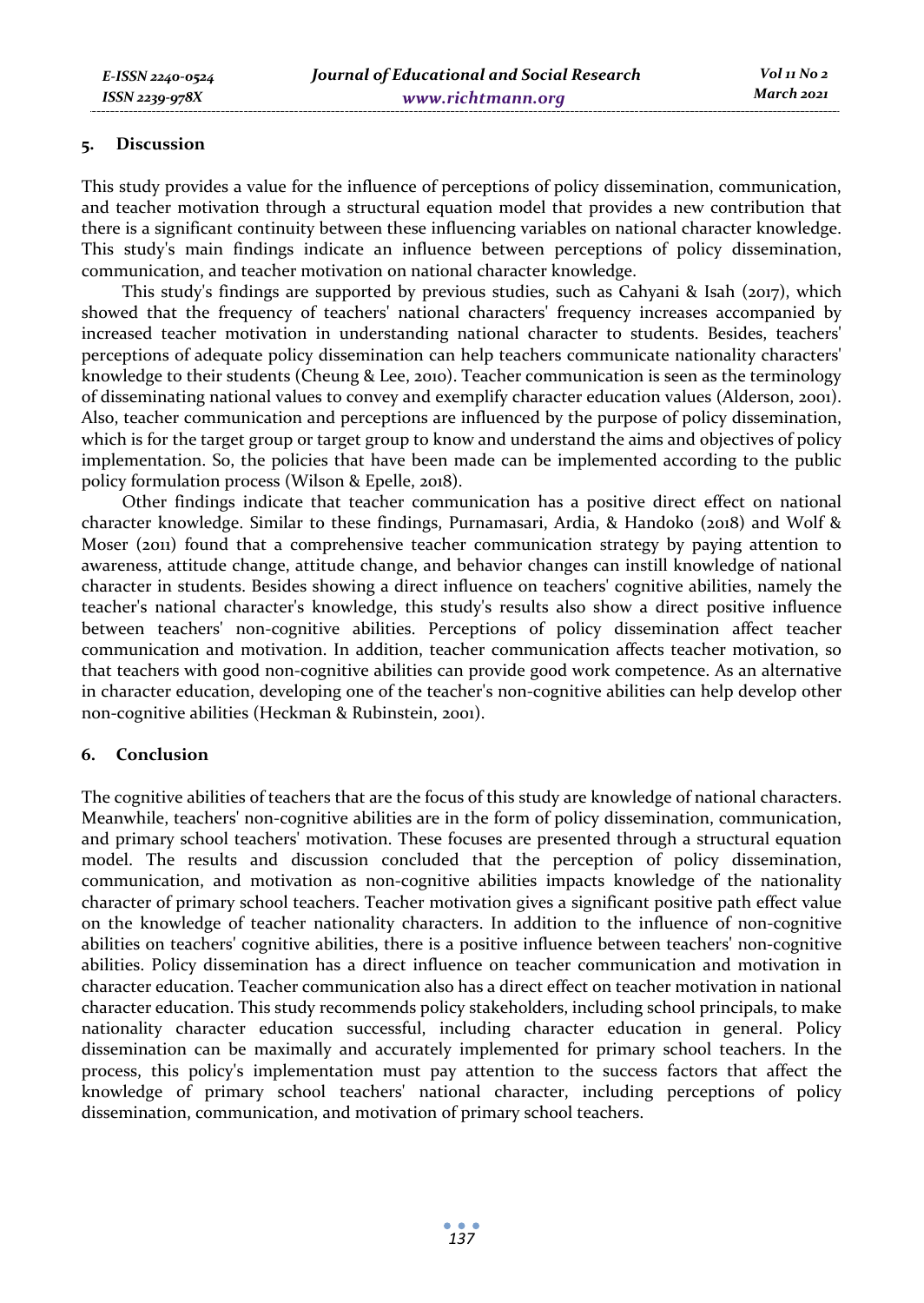#### **5. Discussion**

This study provides a value for the influence of perceptions of policy dissemination, communication, and teacher motivation through a structural equation model that provides a new contribution that there is a significant continuity between these influencing variables on national character knowledge. This study's main findings indicate an influence between perceptions of policy dissemination, communication, and teacher motivation on national character knowledge.

This study's findings are supported by previous studies, such as Cahyani & Isah (2017), which showed that the frequency of teachers' national characters' frequency increases accompanied by increased teacher motivation in understanding national character to students. Besides, teachers' perceptions of adequate policy dissemination can help teachers communicate nationality characters' knowledge to their students (Cheung & Lee, 2010). Teacher communication is seen as the terminology of disseminating national values to convey and exemplify character education values (Alderson, 2001). Also, teacher communication and perceptions are influenced by the purpose of policy dissemination, which is for the target group or target group to know and understand the aims and objectives of policy implementation. So, the policies that have been made can be implemented according to the public policy formulation process (Wilson & Epelle, 2018).

Other findings indicate that teacher communication has a positive direct effect on national character knowledge. Similar to these findings, Purnamasari, Ardia, & Handoko (2018) and Wolf & Moser (2011) found that a comprehensive teacher communication strategy by paying attention to awareness, attitude change, attitude change, and behavior changes can instill knowledge of national character in students. Besides showing a direct influence on teachers' cognitive abilities, namely the teacher's national character's knowledge, this study's results also show a direct positive influence between teachers' non-cognitive abilities. Perceptions of policy dissemination affect teacher communication and motivation. In addition, teacher communication affects teacher motivation, so that teachers with good non-cognitive abilities can provide good work competence. As an alternative in character education, developing one of the teacher's non-cognitive abilities can help develop other non-cognitive abilities (Heckman & Rubinstein, 2001).

### **6. Conclusion**

The cognitive abilities of teachers that are the focus of this study are knowledge of national characters. Meanwhile, teachers' non-cognitive abilities are in the form of policy dissemination, communication, and primary school teachers' motivation. These focuses are presented through a structural equation model. The results and discussion concluded that the perception of policy dissemination, communication, and motivation as non-cognitive abilities impacts knowledge of the nationality character of primary school teachers. Teacher motivation gives a significant positive path effect value on the knowledge of teacher nationality characters. In addition to the influence of non-cognitive abilities on teachers' cognitive abilities, there is a positive influence between teachers' non-cognitive abilities. Policy dissemination has a direct influence on teacher communication and motivation in character education. Teacher communication also has a direct effect on teacher motivation in national character education. This study recommends policy stakeholders, including school principals, to make nationality character education successful, including character education in general. Policy dissemination can be maximally and accurately implemented for primary school teachers. In the process, this policy's implementation must pay attention to the success factors that affect the knowledge of primary school teachers' national character, including perceptions of policy dissemination, communication, and motivation of primary school teachers.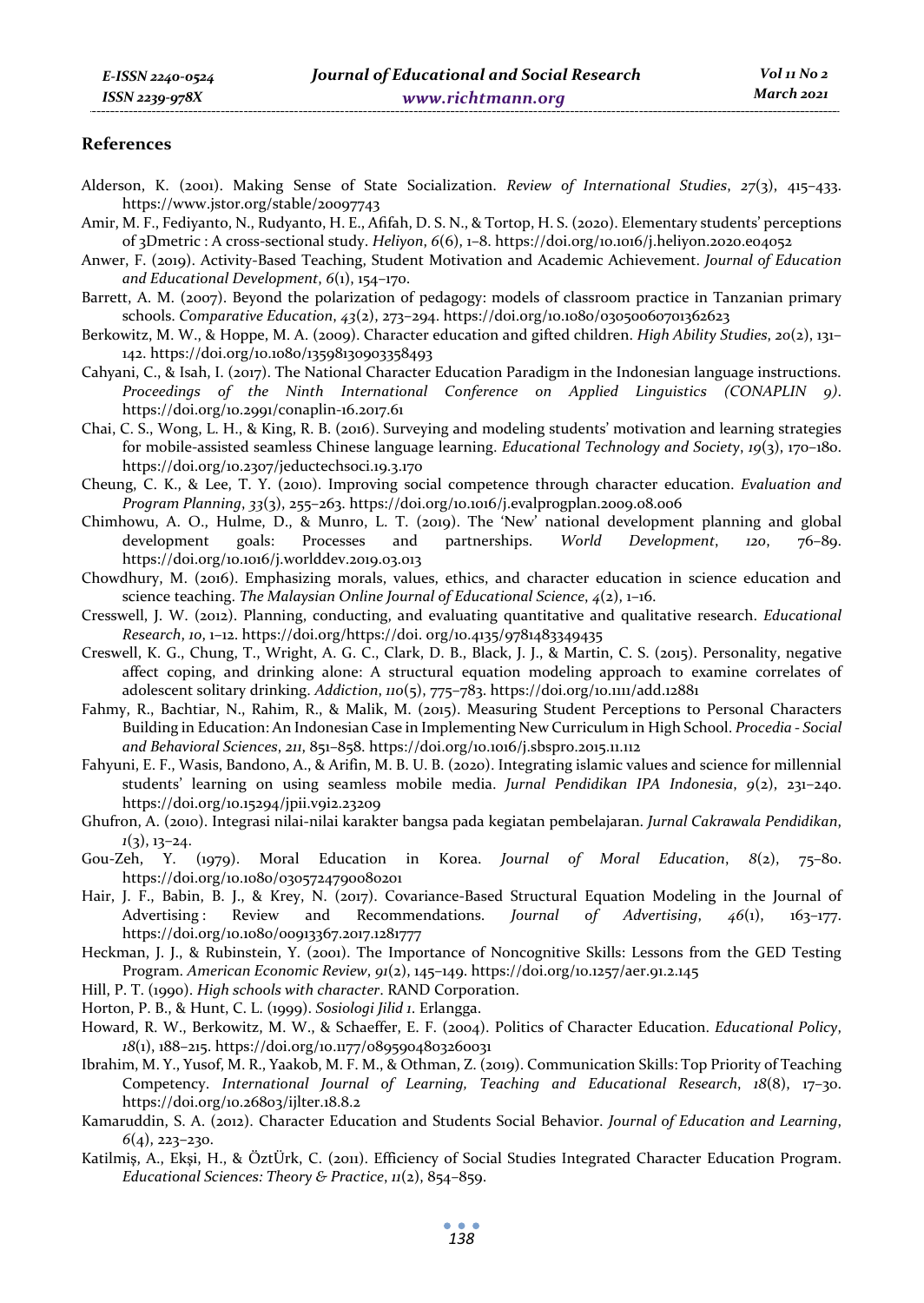#### **References**

- Alderson, K. (2001). Making Sense of State Socialization. *Review of International Studies*, *27*(3), 415–433. https://www.jstor.org/stable/20097743
- Amir, M. F., Fediyanto, N., Rudyanto, H. E., Afifah, D. S. N., & Tortop, H. S. (2020). Elementary students' perceptions of 3Dmetric : A cross-sectional study. *Heliyon*, *6*(6), 1–8. https://doi.org/10.1016/j.heliyon.2020.e04052
- Anwer, F. (2019). Activity-Based Teaching, Student Motivation and Academic Achievement. *Journal of Education and Educational Development*, *6*(1), 154–170.
- Barrett, A. M. (2007). Beyond the polarization of pedagogy: models of classroom practice in Tanzanian primary schools. *Comparative Education*, *43*(2), 273–294. https://doi.org/10.1080/03050060701362623
- Berkowitz, M. W., & Hoppe, M. A. (2009). Character education and gifted children. *High Ability Studies*, *20*(2), 131– 142. https://doi.org/10.1080/13598130903358493
- Cahyani, C., & Isah, I. (2017). The National Character Education Paradigm in the Indonesian language instructions. *Proceedings of the Ninth International Conference on Applied Linguistics (CONAPLIN 9)*. https://doi.org/10.2991/conaplin-16.2017.61
- Chai, C. S., Wong, L. H., & King, R. B. (2016). Surveying and modeling students' motivation and learning strategies for mobile-assisted seamless Chinese language learning. *Educational Technology and Society*, *19*(3), 170–180. https://doi.org/10.2307/jeductechsoci.19.3.170
- Cheung, C. K., & Lee, T. Y. (2010). Improving social competence through character education. *Evaluation and Program Planning*, *33*(3), 255–263. https://doi.org/10.1016/j.evalprogplan.2009.08.006
- Chimhowu, A. O., Hulme, D., & Munro, L. T. (2019). The 'New' national development planning and global development goals: Processes and partnerships. *World Development*, *120*, 76–89. https://doi.org/10.1016/j.worlddev.2019.03.013
- Chowdhury, M. (2016). Emphasizing morals, values, ethics, and character education in science education and science teaching. *The Malaysian Online Journal of Educational Science*, *4*(2), 1–16.
- Cresswell, J. W. (2012). Planning, conducting, and evaluating quantitative and qualitative research. *Educational Research*, *10*, 1–12. https://doi.org/https://doi. org/10.4135/9781483349435
- Creswell, K. G., Chung, T., Wright, A. G. C., Clark, D. B., Black, J. J., & Martin, C. S. (2015). Personality, negative affect coping, and drinking alone: A structural equation modeling approach to examine correlates of adolescent solitary drinking. *Addiction*, *110*(5), 775–783. https://doi.org/10.1111/add.12881
- Fahmy, R., Bachtiar, N., Rahim, R., & Malik, M. (2015). Measuring Student Perceptions to Personal Characters Building in Education: An Indonesian Case in Implementing New Curriculum in High School. *Procedia - Social and Behavioral Sciences*, *211*, 851–858. https://doi.org/10.1016/j.sbspro.2015.11.112
- Fahyuni, E. F., Wasis, Bandono, A., & Arifin, M. B. U. B. (2020). Integrating islamic values and science for millennial students' learning on using seamless mobile media. *Jurnal Pendidikan IPA Indonesia*, *9*(2), 231–240. https://doi.org/10.15294/jpii.v9i2.23209
- Ghufron, A. (2010). Integrasi nilai-nilai karakter bangsa pada kegiatan pembelajaran. *Jurnal Cakrawala Pendidikan*, *1*(3), 13–24.
- Gou-Zeh, Y. (1979). Moral Education in Korea. *Journal of Moral Education*, *8*(2), 75–80. https://doi.org/10.1080/0305724790080201
- Hair, J. F., Babin, B. J., & Krey, N. (2017). Covariance-Based Structural Equation Modeling in the Journal of Advertising : Review and Recommendations. *Journal of Advertising*, *46*(1), 163–177. https://doi.org/10.1080/00913367.2017.1281777
- Heckman, J. J., & Rubinstein, Y. (2001). The Importance of Noncognitive Skills: Lessons from the GED Testing Program. *American Economic Review*, *91*(2), 145–149. https://doi.org/10.1257/aer.91.2.145
- Hill, P. T. (1990). *High schools with character*. RAND Corporation.
- Horton, P. B., & Hunt, C. L. (1999). *Sosiologi Jilid 1*. Erlangga.
- Howard, R. W., Berkowitz, M. W., & Schaeffer, E. F. (2004). Politics of Character Education. *Educational Policy*, *18*(1), 188–215. https://doi.org/10.1177/0895904803260031
- Ibrahim, M. Y., Yusof, M. R., Yaakob, M. F. M., & Othman, Z. (2019). Communication Skills: Top Priority of Teaching Competency. *International Journal of Learning, Teaching and Educational Research*, *18*(8), 17–30. https://doi.org/10.26803/ijlter.18.8.2
- Kamaruddin, S. A. (2012). Character Education and Students Social Behavior. *Journal of Education and Learning*, *6*(4), 223–230.
- Katilmiş, A., Ekşi, H., & ÖztÜrk, C. (2011). Efficiency of Social Studies Integrated Character Education Program. *Educational Sciences: Theory & Practice*, *11*(2), 854–859.